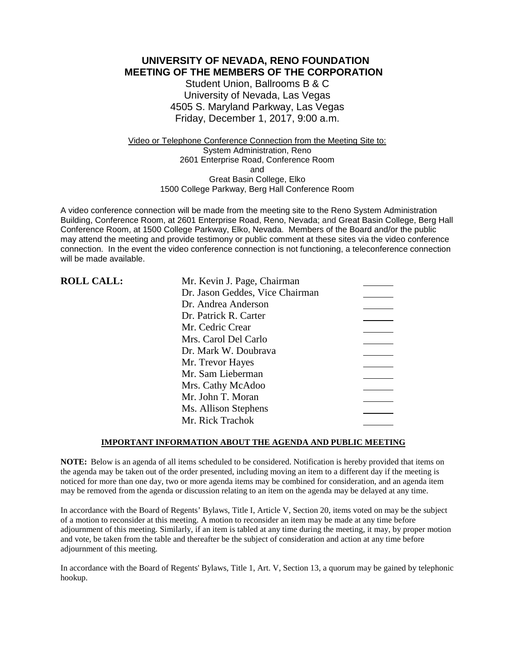**UNIVERSITY OF NEVADA, RENO FOUNDATION MEETING OF THE MEMBERS OF THE CORPORATION**

> Student Union, Ballrooms B & C University of Nevada, Las Vegas 4505 S. Maryland Parkway, Las Vegas Friday, December 1, 2017, 9:00 a.m.

Video or Telephone Conference Connection from the Meeting Site to: System Administration, Reno 2601 Enterprise Road, Conference Room and Great Basin College, Elko 1500 College Parkway, Berg Hall Conference Room

A video conference connection will be made from the meeting site to the Reno System Administration Building, Conference Room, at 2601 Enterprise Road, Reno, Nevada; and Great Basin College, Berg Hall Conference Room, at 1500 College Parkway, Elko, Nevada. Members of the Board and/or the public may attend the meeting and provide testimony or public comment at these sites via the video conference connection. In the event the video conference connection is not functioning, a teleconference connection will be made available.

| <b>ROLL CALL:</b> | Mr. Kevin J. Page, Chairman     |  |
|-------------------|---------------------------------|--|
|                   | Dr. Jason Geddes, Vice Chairman |  |
|                   | Dr. Andrea Anderson             |  |
|                   | Dr. Patrick R. Carter           |  |
|                   | Mr. Cedric Crear                |  |
|                   | Mrs. Carol Del Carlo            |  |
|                   | Dr. Mark W. Doubrava            |  |
|                   | Mr. Trevor Hayes                |  |
|                   | Mr. Sam Lieberman               |  |
|                   | Mrs. Cathy McAdoo               |  |
|                   | Mr. John T. Moran               |  |
|                   | Ms. Allison Stephens            |  |
|                   | Mr. Rick Trachok                |  |

### **IMPORTANT INFORMATION ABOUT THE AGENDA AND PUBLIC MEETING**

**NOTE:** Below is an agenda of all items scheduled to be considered. Notification is hereby provided that items on the agenda may be taken out of the order presented, including moving an item to a different day if the meeting is noticed for more than one day, two or more agenda items may be combined for consideration, and an agenda item may be removed from the agenda or discussion relating to an item on the agenda may be delayed at any time.

In accordance with the Board of Regents' Bylaws, Title I, Article V, Section 20, items voted on may be the subject of a motion to reconsider at this meeting. A motion to reconsider an item may be made at any time before adjournment of this meeting. Similarly, if an item is tabled at any time during the meeting, it may, by proper motion and vote, be taken from the table and thereafter be the subject of consideration and action at any time before adjournment of this meeting.

In accordance with the Board of Regents' Bylaws, Title 1, Art. V, Section 13, a quorum may be gained by telephonic hookup.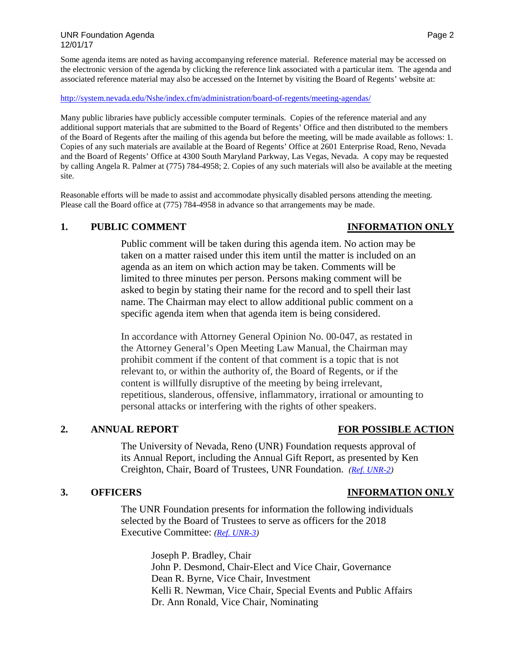### UNR Foundation Agenda **Page 2** and 2 12/01/17

Some agenda items are noted as having accompanying reference material. Reference material may be accessed on the electronic version of the agenda by clicking the reference link associated with a particular item. The agenda and associated reference material may also be accessed on the Internet by visiting the Board of Regents' website at:

### <http://system.nevada.edu/Nshe/index.cfm/administration/board-of-regents/meeting-agendas/>

Many public libraries have publicly accessible computer terminals. Copies of the reference material and any additional support materials that are submitted to the Board of Regents' Office and then distributed to the members of the Board of Regents after the mailing of this agenda but before the meeting, will be made available as follows: 1. Copies of any such materials are available at the Board of Regents' Office at 2601 Enterprise Road, Reno, Nevada and the Board of Regents' Office at 4300 South Maryland Parkway, Las Vegas, Nevada. A copy may be requested by calling Angela R. Palmer at (775) 784-4958; 2. Copies of any such materials will also be available at the meeting site.

Reasonable efforts will be made to assist and accommodate physically disabled persons attending the meeting. Please call the Board office at (775) 784-4958 in advance so that arrangements may be made.

### **1. PUBLIC COMMENT INFORMATION ONLY**

## Public comment will be taken during this agenda item. No action may be taken on a matter raised under this item until the matter is included on an agenda as an item on which action may be taken. Comments will be limited to three minutes per person. Persons making comment will be asked to begin by stating their name for the record and to spell their last name. The Chairman may elect to allow additional public comment on a specific agenda item when that agenda item is being considered.

In accordance with Attorney General Opinion No. 00-047, as restated in the Attorney General's Open Meeting Law Manual, the Chairman may prohibit comment if the content of that comment is a topic that is not relevant to, or within the authority of, the Board of Regents, or if the content is willfully disruptive of the meeting by being irrelevant, repetitious, slanderous, offensive, inflammatory, irrational or amounting to personal attacks or interfering with the rights of other speakers.

### **2. ANNUAL REPORT FOR POSSIBLE ACTION**

The University of Nevada, Reno (UNR) Foundation requests approval of its Annual Report, including the Annual Gift Report, as presented by Ken Creighton, Chair, Board of Trustees, UNR Foundation. *[\(Ref. UNR-2\)](https://nshe.nevada.edu/wp-content/uploads/file/BoardOfRegents/Agendas/2017/nov-mtgs/foundation-refs/unr/UNR-2.pdf)*

The UNR Foundation presents for information the following individuals selected by the Board of Trustees to serve as officers for the 2018 Executive Committee: *[\(Ref. UNR-3\)](https://nshe.nevada.edu/wp-content/uploads/file/BoardOfRegents/Agendas/2017/nov-mtgs/foundation-refs/unr/UNR-3.pdf)*

> Joseph P. Bradley, Chair John P. Desmond, Chair-Elect and Vice Chair, Governance Dean R. Byrne, Vice Chair, Investment Kelli R. Newman, Vice Chair, Special Events and Public Affairs Dr. Ann Ronald, Vice Chair, Nominating

# **3. OFFICERS INFORMATION ONLY**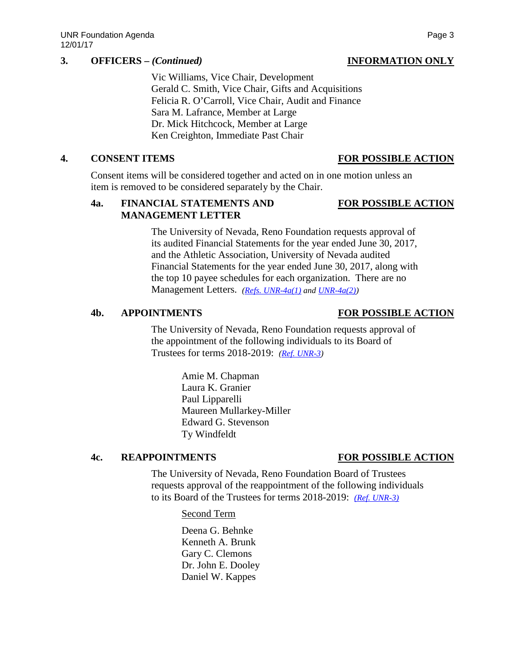## **3. OFFICERS –** *(Continued)* **INFORMATION ONLY**

Vic Williams, Vice Chair, Development Gerald C. Smith, Vice Chair, Gifts and Acquisitions Felicia R. O'Carroll, Vice Chair, Audit and Finance Sara M. Lafrance, Member at Large Dr. Mick Hitchcock, Member at Large Ken Creighton, Immediate Past Chair

Consent items will be considered together and acted on in one motion unless an item is removed to be considered separately by the Chair.

## **4a. FINANCIAL STATEMENTS AND FOR POSSIBLE ACTION MANAGEMENT LETTER**

The University of Nevada, Reno Foundation requests approval of its audited Financial Statements for the year ended June 30, 2017, and the Athletic Association, University of Nevada audited Financial Statements for the year ended June 30, 2017, along with the top 10 payee schedules for each organization. There are no Management Letters. *[\(Refs. UNR-4a\(1\)](https://nshe.nevada.edu/wp-content/uploads/file/BoardOfRegents/Agendas/2017/nov-mtgs/foundation-refs/unr/UNR-4a(1).pdf) and [UNR-4a\(2\)\)](https://nshe.nevada.edu/wp-content/uploads/file/BoardOfRegents/Agendas/2017/nov-mtgs/foundation-refs/unr/UNR-4a(2).pdf)*

## **4b. APPOINTMENTS FOR POSSIBLE ACTION**

The University of Nevada, Reno Foundation requests approval of the appointment of the following individuals to its Board of Trustees for terms 2018-2019: *[\(Ref. UNR-3\)](https://nshe.nevada.edu/wp-content/uploads/file/BoardOfRegents/Agendas/2017/nov-mtgs/foundation-refs/unr/UNR-3.pdf)*

> Amie M. Chapman Laura K. Granier Paul Lipparelli Maureen Mullarkey-Miller Edward G. Stevenson Ty Windfeldt

### **4c. REAPPOINTMENTS FOR POSSIBLE ACTION**

The University of Nevada, Reno Foundation Board of Trustees requests approval of the reappointment of the following individuals to its Board of the Trustees for terms 2018-2019: *[\(Ref. UNR-3\)](https://nshe.nevada.edu/wp-content/uploads/file/BoardOfRegents/Agendas/2017/nov-mtgs/foundation-refs/unr/UNR-3.pdf)*

Second Term

Deena G. Behnke Kenneth A. Brunk Gary C. Clemons Dr. John E. Dooley Daniel W. Kappes

# **4. CONSENT ITEMS FOR POSSIBLE ACTION**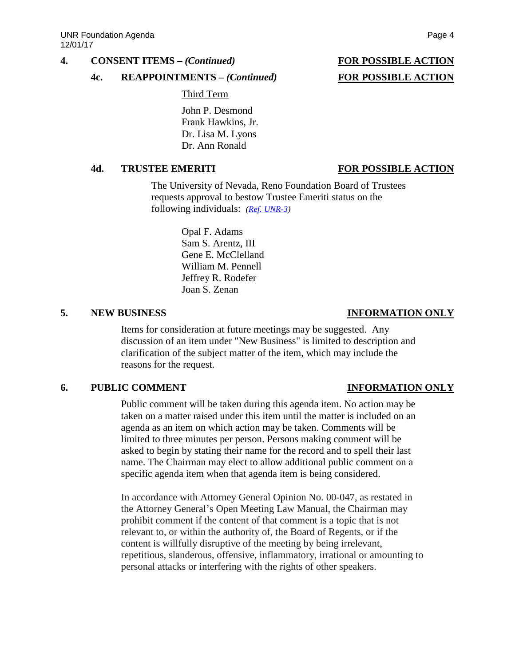### **4. CONSENT ITEMS –** *(Continued)* **FOR POSSIBLE ACTION**

### **4c. REAPPOINTMENTS –** *(Continued)* **FOR POSSIBLE ACTION**

Third Term

John P. Desmond Frank Hawkins, Jr. Dr. Lisa M. Lyons Dr. Ann Ronald

### **4d. TRUSTEE EMERITI FOR POSSIBLE ACTION**

The University of Nevada, Reno Foundation Board of Trustees requests approval to bestow Trustee Emeriti status on the following individuals: *[\(Ref. UNR-3\)](https://nshe.nevada.edu/wp-content/uploads/file/BoardOfRegents/Agendas/2017/nov-mtgs/foundation-refs/unr/UNR-3.pdf)*

> Opal F. Adams Sam S. Arentz, III Gene E. McClelland William M. Pennell Jeffrey R. Rodefer Joan S. Zenan

### **5. NEW BUSINESS INFORMATION ONLY**

Items for consideration at future meetings may be suggested. Any discussion of an item under "New Business" is limited to description and clarification of the subject matter of the item, which may include the reasons for the request.

## **6. PUBLIC COMMENT INFORMATION ONLY**

Public comment will be taken during this agenda item. No action may be taken on a matter raised under this item until the matter is included on an agenda as an item on which action may be taken. Comments will be limited to three minutes per person. Persons making comment will be asked to begin by stating their name for the record and to spell their last name. The Chairman may elect to allow additional public comment on a specific agenda item when that agenda item is being considered.

In accordance with Attorney General Opinion No. 00-047, as restated in the Attorney General's Open Meeting Law Manual, the Chairman may prohibit comment if the content of that comment is a topic that is not relevant to, or within the authority of, the Board of Regents, or if the content is willfully disruptive of the meeting by being irrelevant, repetitious, slanderous, offensive, inflammatory, irrational or amounting to personal attacks or interfering with the rights of other speakers.